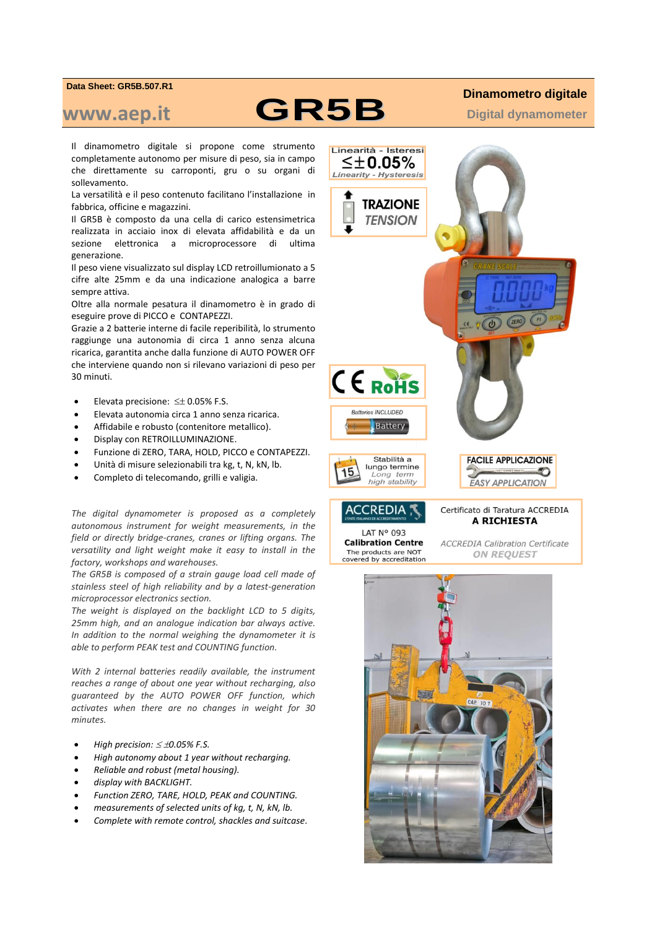## **Data Sheet: GR5B.507.R1**

## **www.aep.it GR5B**

Il dinamometro digitale si propone come strumento completamente autonomo per misure di peso, sia in campo che direttamente su carroponti, gru o su organi di sollevamento.

La versatilità e il peso contenuto facilitano l'installazione in fabbrica, officine e magazzini.

Il GR5B è composto da una cella di carico estensimetrica realizzata in acciaio inox di elevata affidabilità e da un sezione elettronica a microprocessore di ultima generazione.

Il peso viene visualizzato sul display LCD retroillumionato a 5 cifre alte 25mm e da una indicazione analogica a barre sempre attiva.

Oltre alla normale pesatura il dinamometro è in grado di eseguire prove di PICCO e CONTAPEZZI.

Grazie a 2 batterie interne di facile reperibilità, lo strumento raggiunge una autonomia di circa 1 anno senza alcuna ricarica, garantita anche dalla funzione di AUTO POWER OFF che interviene quando non si rilevano variazioni di peso per 30 minuti.

- $\bullet$  Elevata precisione:  $\leq \pm 0.05\%$  F.S.
- Elevata autonomia circa 1 anno senza ricarica.
- Affidabile e robusto (contenitore metallico).
- Display con RETROILLUMINAZIONE.
- Funzione di ZERO, TARA, HOLD, PICCO e CONTAPEZZI.
- Unità di misure selezionabili tra kg, t, N, kN, lb.
- Completo di telecomando, grilli e valigia.

*The digital dynamometer is proposed as a completely autonomous instrument for weight measurements, in the field or directly bridge-cranes, cranes or lifting organs. The versatility and light weight make it easy to install in the factory, workshops and warehouses.* 

*The GR5B is composed of a strain gauge load cell made of stainless steel of high reliability and by a latest-generation microprocessor electronics section.* 

*The weight is displayed on the backlight LCD to 5 digits, 25mm high, and an analogue indication bar always active. In addition to the normal weighing the dynamometer it is able to perform PEAK test and COUNTING function.* 

*With 2 internal batteries readily available, the instrument reaches a range of about one year without recharging, also guaranteed by the AUTO POWER OFF function, which activates when there are no changes in weight for 30 minutes.* 

- *High precision: ≤ ±0.05% F.S.*
- *High autonomy about 1 year without recharging.*
- *Reliable and robust (metal housing).*
- *display with BACKLIGHT.*
- *Function ZERO, TARE, HOLD, PEAK and COUNTING.*
- *measurements of selected units of kg, t, N, kN, lb.*
- *Complete with remote control, shackles and suitcase*.

## **Dinamometro digitale**

**Digital dynamometer**